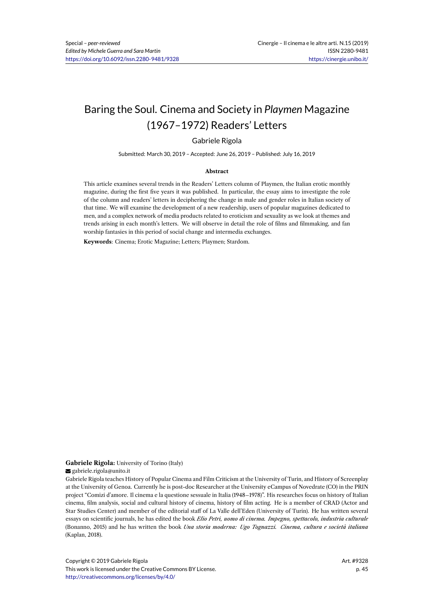# Baring the Soul. Cinema and Society in *Playmen* Magazine (1967–1972) Readers' Letters

### Gabriele Rigola

Submitted: March 30, 2019 – Accepted: June 26, 2019 – Published: July 16, 2019

#### **Abstract**

This article examines several trends in the Readers' Letters column of Playmen, the Italian erotic monthly magazine, during the first five years it was published. In particular, the essay aims to investigate the role of the column and readers' letters in deciphering the change in male and gender roles in Italian society of that time. We will examine the development of a new readership, users of popular magazines dedicated to men, and a complex network of media products related to eroticism and sexuality as we look at themes and trends arising in each month's letters. We will observe in detail the role of films and filmmaking, and fan worship fantasies in this period of social change and intermedia exchanges.

**Keywords**: Cinema; Erotic Magazine; Letters; Playmen; Stardom.

#### **Gabriele Rigola:** University of Torino (Italy) s gabriele.rigola@unito.it

Gabriele Rigola teaches History of Popular Cinema and Film Criticism at the University of Turin, and History of Screenplay at the University of Genoa. Currently he is post-doc Researcher at the University eCampus of Novedrate (CO) in the PRIN project "Comizi d'amore. Il cinema e la questione sessuale in Italia (1948–1978)". His researches focus on history of Italian cinema, film analysis, social and cultural history of cinema, history of film acting. He is a member of CRAD (Actor and Star Studies Center) and member of the editorial staff of La Valle dell'Eden (University of Turin). He has written several essays on scientific journals, he has edited the book *Elio Petri, uomo di cinema. Impegno, spettacolo, industria culturale* (Bonanno, 2015) and he has written the book *Una storia moderna: Ugo Tognazzi. Cinema, cultura e società italiana* (Kaplan, 2018).

Copyright © 2019 Gabriele Rigola This work is licensed under the Creative Commons BY License. http://creativecommons.org/licenses/by/4.0/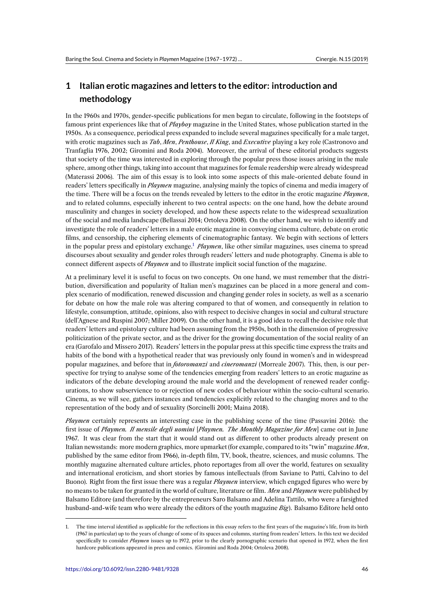# **1 Italian erotic magazines and letters to the editor: introduction and methodology**

In the 1960s and 1970s, gender-specific publications for men began to circulate, following in the footsteps of famous print experiences like that of *Playboy* magazine in the United States, whose publication started in the 1950s. As a consequence, periodical press expanded to include several magazines specifically for a male target, with erotic magazines such as *Tab*, *Men*, *Penthouse*, *Il King*, and *Executive* playing a key role (Castronovo and Tranfaglia 1976, 2002; Giromini and Roda 2004). Moreover, the arrival of these editorial products suggests that society of the time was interested in exploring through the popular press those issues arising in the male sphere, among other things, taking into account that magazines for female readership were already widespread (Materassi 2006). The aim of this essay is to look into some aspects of this male-oriented debate found in readers' letters specifically in *Playmen* magazine, analysing mainly the topics of cinema and media imagery of the time. There will be a focus on the trends revealed by letters to the editor in the erotic magazine *Playmen*, and to related columns, especially inherent to two central aspects: on the one hand, how the debate around masculinity and changes in society developed, and how these aspects relate to the widespread sexualization of the social and media landscape (Bellassai 2014; Ortoleva 2008). On the other hand, we wish to identify and investigate the role of readers' letters in a male erotic magazine in conveying cinema culture, debate on erotic films, and censorship, the ciphering elements of cinematographic fantasy. We begin with sections of letters in the popular press and epistolary exchange.<sup>1</sup> *Playmen*, like other similar magazines, uses cinema to spread discourses about sexuality and gender roles through readers' letters and nude photography. Cinema is able to connect different aspects of *Playmen* and to illustrate implicit social function of the magazine.

At a preliminary level it is useful to focus on [tw](#page-1-0)o concepts. On one hand, we must remember that the distribution, diversification and popularity of Italian men's magazines can be placed in a more general and complex scenario of modification, renewed discussion and changing gender roles in society, as well as a scenario for debate on how the male role was altering compared to that of women, and consequently in relation to lifestyle, consumption, attitude, opinions, also with respect to decisive changes in social and cultural structure (dell'Agnese and Ruspini 2007; Miller 2009). On the other hand, it is a good idea to recall the decisive role that readers' letters and epistolary culture had been assuming from the 1950s, both in the dimension of progressive politicization of the private sector, and as the driver for the growing documentation of the social reality of an era (Garofalo and Missero 2017). Readers' letters in the popular press at this specific time express the traits and habits of the bond with a hypothetical reader that was previously only found in women's and in widespread popular magazines, and before that in *fotoromanzi* and *cineromanzi* (Morreale 2007). This, then, is our perspective for trying to analyse some of the tendencies emerging from readers' letters to an erotic magazine as indicators of the debate developing around the male world and the development of renewed reader configurations, to show subservience to or rejection of new codes of behaviour within the socio-cultural scenario. Cinema, as we will see, gathers instances and tendencies explicitly related to the changing mores and to the representation of the body and of sexuality (Sorcinelli 2001; Maina 2018).

*Playmen* certainly represents an interesting case in the publishing scene of the time (Passavini 2016): the first issue of *Playmen. Il mensile degli uomini* [*Playmen. The Monthly Magazine for Men*] came out in June 1967. It was clear from the start that it would stand out as different to other products already present on Italian newsstands: more modern graphics, more upmarket (for example, compared to its "twin" magazine *Men*, published by the same editor from 1966), in-depth film, TV, book, theatre, sciences, and music columns. The monthly magazine alternated culture articles, photo reportages from all over the world, features on sexuality and international eroticism, and short stories by famous intellectuals (from Saviane to Patti, Calvino to del Buono). Right from the first issue there was a regular *Playmen* interview, which engaged figures who were by no means to be taken for granted in the world of culture, literature or film. *Men* and *Playmen* were published by Balsamo Editore (and therefore by the entrepreneurs Saro Balsamo and Adelina Tattilo, who were a farsighted husband-and-wife team who were already the editors of the youth magazine *Big*). Balsamo Editore held onto

<span id="page-1-0"></span><sup>1.</sup> The time interval identified as applicable for the reflections in this essay refers to the first years of the magazine's life, from its birth (1967 in particular) up to the years of change of some of its spaces and columns, starting from readers' letters. In this text we decided specifically to consider *Playmen* issues up to 1972, prior to the clearly pornographic scenario that opened in 1972, when the first hardcore publications appeared in press and comics. (Giromini and Roda 2004; Ortoleva 2008).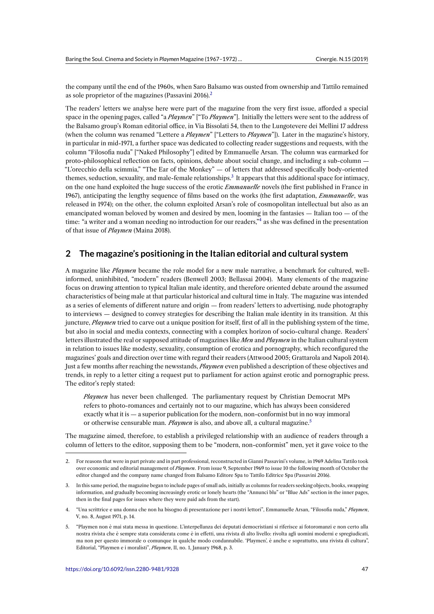the company until the end of the 1960s, when Saro Balsamo was ousted from ownership and Tattilo remained as sole proprietor of the magazines (Passavini 2016).<sup>2</sup>

The readers' letters we analyse here were part of the magazine from the very first issue, afforded a special space in the opening pages, called "a *Playmen*" ["To *Playmen*"]. Initially the letters were sent to the address of the Balsamo group's Roman editorial office, in Via B[is](#page-2-0)solati 54, then to the Lungotevere dei Mellini 17 address (when the column was renamed "Lettere a *Playmen*" ["Letters to *Playmen*"]). Later in the magazine's history, in particular in mid-1971, a further space was dedicated to collecting reader suggestions and requests, with the column "Filosofia nuda" ["Naked Philosophy"] edited by Emmanuelle Arsan. The column was earmarked for proto-philosophical reflection on facts, opinions, debate about social change, and including a sub-column — "L'orecchio della scimmia," "The Ear of the Monkey" — of letters that addressed specifically body-oriented themes, seduction, sexuality, and male-female relationships.<sup>3</sup> It appears that this additional space for intimacy, on the one hand exploited the huge success of the erotic *Emmanuelle* novels (the first published in France in 1967), anticipating the lengthy sequence of films based on the works (the first adaptation, *Emmanuelle*, was released in 1974); on the other, the column exploited Arsan's role of cosmopolitan intellectual but also as an emancipated woman beloved by women and desired by m[en](#page-2-1), looming in the fantasies — Italian too — of the time: "a writer and a woman needing no introduction for our readers,"<sup>4</sup> as she was defined in the presentation of that issue of *Playmen* (Maina 2018).

## **2 The magazine's positioning in the Italian edito[ri](#page-2-2)al and cultural system**

A magazine like *Playmen* became the role model for a new male narrative, a benchmark for cultured, wellinformed, uninhibited, "modern" readers (Benwell 2003; Bellassai 2004). Many elements of the magazine focus on drawing attention to typical Italian male identity, and therefore oriented debate around the assumed characteristics of being male at that particular historical and cultural time in Italy. The magazine was intended as a series of elements of different nature and origin — from readers' letters to advertising, nude photography to interviews — designed to convey strategies for describing the Italian male identity in its transition. At this juncture, *Playmen* tried to carve out a unique position for itself, first of all in the publishing system of the time, but also in social and media contexts, connecting with a complex horizon of socio-cultural change. Readers' letters illustrated the real or supposed attitude of magazines like *Men* and *Playmen* in the Italian cultural system in relation to issues like modesty, sexuality, consumption of erotica and pornography, which reconfigured the magazines' goals and direction over time with regard their readers (Attwood 2005; Grattarola and Napoli 2014). Just a few months after reaching the newsstands, *Playmen* even published a description of these objectives and trends, in reply to a letter citing a request put to parliament for action against erotic and pornographic press. The editor's reply stated:

*Playmen* has never been challenged. The parliamentary request by Christian Democrat MPs refers to photo-romances and certainly not to our magazine, which has always been considered exactly what it is — a superior publication for the modern, non-conformist but in no way immoral or otherwise censurable man. *Playmen* is also, and above all, a cultural magazine.<sup>5</sup>

The magazine aimed, therefore, to establish a privileged relationship with an audience of readers through a column of letters to the editor, supposing them to be "modern, non-conformist" men, yet it gave voice to the

- <span id="page-2-0"></span>3. In this same period, the magazine began to include pages of small ads, initially as columns for readers seeking objects, books, swapping information, and gradually becoming increasingly erotic or lonely hearts (the "Annunci blu" or "Blue Ads" section in the inner pages, then in the final pages for issues where they were paid ads from the start).
- 4. "Una scrittrice e una donna che non ha bisogno di presentazione per i nostri lettori", Emmanuelle Arsan, "Filosofia nuda," *Playmen*, V, no. 8, August 1971, p. 14.
- <span id="page-2-3"></span><span id="page-2-2"></span><span id="page-2-1"></span>5. "Playmen non è mai stata messa in questione. L'interpellanza dei deputati democristiani si riferisce ai fotoromanzi e non certo alla nostra rivista che è sempre stata considerata come è in effetti, una rivista di alto livello: rivolta agli uomini moderni e spregiudicati, ma non per questo immorale o comunque in qualche modo condannabile. 'Playmen', è anche e soprattutto, una rivista di cultura", Editorial, "Playmen e i moralisti", *Playmen*, II, no. 1, January 1968, p. 3.

<sup>2.</sup> For reasons that were in part private and in part professional, reconstructed in Gianni Passavini's volume,i[n](#page-2-3) 1969 Adelina Tattilo took over economic and editorial management of *Playmen*. From issue 9, September 1969 to issue 10 the following month of October the editor changed and the company name changed from Balsamo Editore Spa to Tattilo Editrice Spa (Passavini 2016).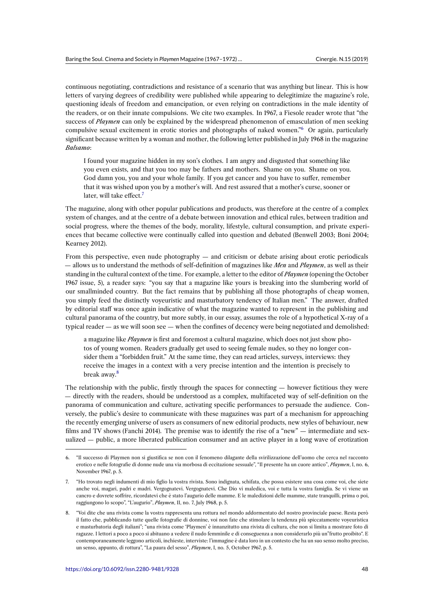continuous negotiating, contradictions and resistance of a scenario that was anything but linear. This is how letters of varying degrees of credibility were published while appearing to delegitimize the magazine's role, questioning ideals of freedom and emancipation, or even relying on contradictions in the male identity of the readers, or on their innate compulsions. We cite two examples. In 1967, a Fiesole reader wrote that "the success of *Playmen* can only be explained by the widespread phenomenon of emasculation of men seeking compulsive sexual excitement in erotic stories and photographs of naked women."<sup>6</sup> Or again, particularly significant because written by a woman and mother, the following letter published in July 1968 in the magazine *Balsamo*:

I found your magazine hidden in my son's clothes. I am angry and disgusted t[ha](#page-3-0)t something like you even exists, and that you too may be fathers and mothers. Shame on you. Shame on you. God damn you, you and your whole family. If you get cancer and you have to suffer, remember that it was wished upon you by a mother's will. And rest assured that a mother's curse, sooner or later, will take effect. $<sup>7</sup>$ </sup>

The magazine, along with other popular publications and products, was therefore at the centre of a complex system of changes, and at the centre of a debate between innovation and ethical rules, between tradition and social progress, where the [th](#page-3-1)emes of the body, morality, lifestyle, cultural consumption, and private experiences that became collective were continually called into question and debated (Benwell 2003; Boni 2004; Kearney 2012).

From this perspective, even nude photography — and criticism or debate arising about erotic periodicals — allows us to understand the methods of self-definition of magazines like *Men* and *Playmen*, as well as their standing in the cultural context of the time. For example, a letter to the editor of *Playmen* (opening the October 1967 issue, 5), a reader says: "you say that a magazine like yours is breaking into the slumbering world of our smallminded country. But the fact remains that by publishing all those photographs of cheap women, you simply feed the distinctly voyeuristic and masturbatory tendency of Italian men." The answer, drafted by editorial staff was once again indicative of what the magazine wanted to represent in the publishing and cultural panorama of the country, but more subtly, in our essay, assumes the role of a hypothetical X-ray of a typical reader — as we will soon see — when the confines of decency were being negotiated and demolished:

a magazine like *Playmen* is first and foremost a cultural magazine, which does not just show photos of young women. Readers gradually get used to seeing female nudes, so they no longer consider them a "forbidden fruit." At the same time, they can read articles, surveys, interviews: they receive the images in a context with a very precise intention and the intention is precisely to break away.<sup>8</sup>

The relationship with the public, firstly through the spaces for connecting — however fictitious they were — directly with the readers, should be understood as a complex, multifaceted way of self-definition on the panorama of com[m](#page-3-2)unication and culture, activating specific performances to persuade the audience. Conversely, the public's desire to communicate with these magazines was part of a mechanism for approaching the recently emerging universe of users as consumers of new editorial products, new styles of behaviour, new films and TV shows (Fanchi 2014). The premise was to identify the rise of a "new" — intermediate and sexualized — public, a more liberated publication consumer and an active player in a long wave of erotization

<sup>6.</sup> "Il successo di Playmen non si giustifica se non con il fenomeno dilagante della svirilizzazione dell'uomo che cerca nel racconto erotico e nelle fotografie di donne nude una via morbosa di eccitazione sessuale", "Il presente ha un cuore antico", *Playmen*, I, no. 6, November 1967, p. 5.

<span id="page-3-0"></span><sup>7.</sup> "Ho trovato negli indumenti di mio figlio la vostra rivista. Sono indignata, schifata, che possa esistere una cosa come voi, che siete anche voi, magari, padri e madri. Vergognatevi. Vergognatevi. Che Dio vi maledica, voi e tutta la vostra famiglia. Se vi viene un cancro e dovrete soffrire, ricordatevi che è stato l'augurio delle mamme. E le maledizioni delle mamme, state tranquilli, prima o poi, raggiungono lo scopo", "L'augurio", *Playmen*, II, no. 7, July 1968, p. 5.

<span id="page-3-2"></span><span id="page-3-1"></span><sup>8.</sup> "Voi dite che una rivista come la vostra rappresenta una rottura nel mondo addormentato del nostro provinciale paese. Resta però il fatto che, pubblicando tutte quelle fotografie di donnine, voi non fate che stimolare la tendenza più spiccatamente voyeuristica e masturbatoria degli italiani"; "una rivista come 'Playmen' è innanzitutto una rivista di cultura, che non si limita a mostrare foto di ragazze. I lettori a poco a poco si abituano a vedere il nudo femminile e di conseguenza a non considerarlo più un"frutto proibito". E contemporaneamente leggono articoli, inchieste, interviste: l'immagine è data loro in un contesto che ha un suo senso molto preciso, un senso, appunto, di rottura", "La paura del sesso", *Playmen*, I, no. 5, October 1967, p. 5.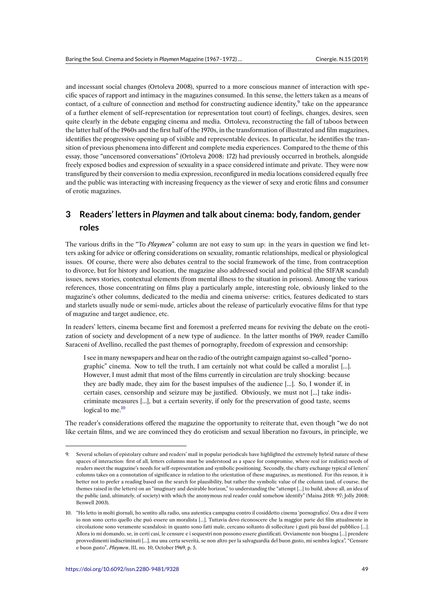and incessant social changes (Ortoleva 2008), spurred to a more conscious manner of interaction with specific spaces of rapport and intimacy in the magazines consumed. In this sense, the letters taken as a means of contact, of a culture of connection and method for constructing audience identity, $9$  take on the appearance of a further element of self-representation (or representation tout court) of feelings, changes, desires, seen quite clearly in the debate engaging cinema and media. Ortoleva, reconstructing the fall of taboos between the latter half of the 1960s and the first half of the 1970s, in the transformation of illustrated and film magazines, identifies the progressive opening up of visible and representable devices. In partic[ul](#page-4-0)ar, he identifies the transition of previous phenomena into different and complete media experiences. Compared to the theme of this essay, those "uncensored conversations" (Ortoleva 2008: 172) had previously occurred in brothels, alongside freely exposed bodies and expression of sexuality in a space considered intimate and private. They were now transfigured by their conversion to media expression, reconfigured in media locations considered equally free and the public was interacting with increasing frequency as the viewer of sexy and erotic films and consumer of erotic magazines.

# **3 Readers' letters in** *Playmen* **and talk about cinema: body, fandom, gender roles**

The various drifts in the "To *Playmen*" column are not easy to sum up: in the years in question we find letters asking for advice or offering considerations on sexuality, romantic relationships, medical or physiological issues. Of course, there were also debates central to the social framework of the time, from contraception to divorce, but for history and location, the magazine also addressed social and political (the SIFAR scandal) issues, news stories, contextual elements (from mental illness to the situation in prisons). Among the various references, those concentrating on films play a particularly ample, interesting role, obviously linked to the magazine's other columns, dedicated to the media and cinema universe: critics, features dedicated to stars and starlets usually nude or semi-nude, articles about the release of particularly evocative films for that type of magazine and target audience, etc.

In readers' letters, cinema became first and foremost a preferred means for reviving the debate on the erotization of society and development of a new type of audience. In the latter months of 1969, reader Camillo Saraceni of Avellino, recalled the past themes of pornography, freedom of expression and censorship:

I see in many newspapers and hear on the radio of the outright campaign against so-called "pornographic" cinema. Now to tell the truth, I am certainly not what could be called a moralist […]. However, I must admit that most of the films currently in circulation are truly shocking: because they are badly made, they aim for the basest impulses of the audience […]. So, I wonder if, in certain cases, censorship and seizure may be justified. Obviously, we must not […] take indiscriminate measures […], but a certain severity, if only for the preservation of good taste, seems logical to me.<sup>10</sup>

The reader's considerations offered the magazine the opportunity to reiterate that, even though "we do not like certain films, and we are convinced they do eroticism and sexual liberation no favours, in principle, we

<sup>9.</sup> Several scholars of epistolary culture and readers' mail in popular periodicals have highlighted the extremely hybrid nature of these spaces of interaction: first of all, letters columns must be understood as a space for compromise, where real (or realistic) needs of readers meet the magazine's needs for self-representation and symbolic positioning. Secondly, the chatty exchange typical of letters' columns takes on a connotation of significance in relation to the orientation of these magazines, as mentioned. For this reason, it is better not to prefer a reading based on the search for plausibility, but rather the symbolic value of the column (and, of course, the themes raised in the letters) on an "imaginary and desirable horizon," to understanding the "attempt […] to build, above all, an idea of the public (and, ultimately, of society) with which the anonymous real reader could somehow identify" (Maina 2018: 97; Jolly 2008; Benwell 2003).

<span id="page-4-0"></span><sup>10.</sup> "Ho letto in molti giornali, ho sentito alla radio, una autentica campagna contro il cosiddetto cinema 'pornografico'. Ora a dire il vero io non sono certo quello che può essere un moralista […]. Tuttavia devo riconoscere che la maggior parte dei film attualmente in circolazione sono veramente scandalosi: in quanto sono fatti male, cercano soltanto di sollecitare i gusti più bassi del pubblico […]. Allora io mi domando, se, in certi casi, le censure e i sequestri non possono essere giustificati. Ovviamente non bisogna […] prendere provvedimenti indiscriminati […], ma una certa severità, se non altro per la salvaguardia del buon gusto, mi sembra logica", "Censure e buon gusto", *Playmen*, III, no. 10, October 1969, p. 5.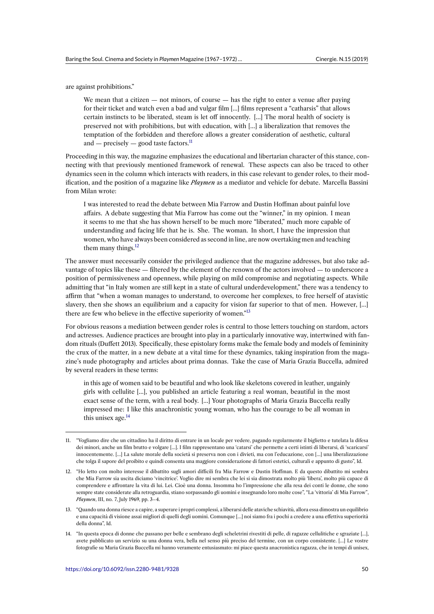are against prohibitions."

We mean that a citizen  $-$  not minors, of course  $-$  has the right to enter a venue after paying for their ticket and watch even a bad and vulgar film […] films represent a "catharsis" that allows certain instincts to be liberated, steam is let off innocently. […] The moral health of society is preserved not with prohibitions, but with education, with […] a liberalization that removes the temptation of the forbidden and therefore allows a greater consideration of aesthetic, cultural and — precisely — good taste factors. $11$ 

Proceeding in this way, the magazine emphasizes the educational and libertarian character of this stance, connecting with that previously mentioned framework of renewal. These aspects can also be traced to other dynamics seen in the column which interact[s](#page-5-0) with readers, in this case relevant to gender roles, to their modification, and the position of a magazine like *Playmen* as a mediator and vehicle for debate. Marcella Bassini from Milan wrote:

I was interested to read the debate between Mia Farrow and Dustin Hoffman about painful love affairs. A debate suggesting that Mia Farrow has come out the "winner," in my opinion. I mean it seems to me that she has shown herself to be much more "liberated," much more capable of understanding and facing life that he is. She. The woman. In short, I have the impression that women, who have always been considered as second in line, are now overtaking men and teaching them many things.<sup>12</sup>

The answer must necessarily consider the privileged audience that the magazine addresses, but also take advantage of topics like these — filtered by the element of the renown of the actors involved — to underscore a position of permissivene[ss](#page-5-1) and openness, while playing on mild compromise and negotiating aspects. While admitting that "in Italy women are still kept in a state of cultural underdevelopment," there was a tendency to affirm that "when a woman manages to understand, to overcome her complexes, to free herself of atavistic slavery, then she shows an equilibrium and a capacity for vision far superior to that of men. However, […] there are few who believe in the effective superiority of women."<sup>13</sup>

For obvious reasons a mediation between gender roles is central to those letters touching on stardom, actors and actresses. Audience practices are brought into play in a particularly innovative way, intertwined with fandom rituals (Duffett 2013). Specifically, these epistolary forms ma[ke](#page-5-2) the female body and models of femininity the crux of the matter, in a new debate at a vital time for these dynamics, taking inspiration from the magazine's nude photography and articles about prima donnas. Take the case of Maria Grazia Buccella, admired by several readers in these terms:

in this age of women said to be beautiful and who look like skeletons covered in leather, ungainly girls with cellulite […], you published an article featuring a real woman, beautiful in the most exact sense of the term, with a real body. […] Your photographs of Maria Grazia Buccella really impressed me: I like this anachronistic young woman, who has the courage to be all woman in this unisex age. $^{14}$ 

<sup>11.</sup> "Vogliamo dire che un cittadino ha il diritto di entrare in un locale per vedere, pagando regolarmente il biglietto e tutelata la difesa dei minori, anche un film brutto e volgare […]. I film rappresentano una 'catarsi' che permette a certi istinti di liberarsi, di 'scaricarsi' innocentemente. [...] [La](#page-5-3) salute morale della società si preserva non con i divieti, ma con l'educazione, con [...] una liberalizzazione che tolga il sapore del proibito e quindi consenta una maggiore considerazione di fattori estetici, culturali e appunto di gusto", Id.

<span id="page-5-0"></span><sup>12.</sup> "Ho letto con molto interesse il dibattito sugli amori difficili fra Mia Farrow e Dustin Hoffman. E da questo dibattito mi sembra che Mia Farrow sia uscita diciamo 'vincitrice'. Voglio dire mi sembra che lei si sia dimostrata molto più 'libera', molto più capace di comprendere e affrontare la vita di lui. Lei. Cioè una donna. Insomma ho l'impressione che alla resa dei conti le donne, che sono sempre state considerate alla retroguardia, stiano sorpassando gli uomini e insegnando loro molte cose", "La 'vittoria' di Mia Farrow", *Playmen*, III, no. 7, July 1969, pp. 3–4.

<span id="page-5-1"></span><sup>13.</sup> "Quando una donna riesce a capire, a superare i propri complessi, a liberarsi delle ataviche schiavitù, allora essa dimostra un equilibrio e una capacità di visione assai migliori di quelli degli uomini. Comunque […] noi siamo fra i pochi a credere a una effettiva superiorità della donna", Id.

<span id="page-5-3"></span><span id="page-5-2"></span><sup>14.</sup> "In questa epoca di donne che passano per belle e sembrano degli scheletrini rivestiti di pelle, di ragazze cellulitiche e sgraziate […], avete pubblicato un servizio su una donna vera, bella nel senso più preciso del termine, con un corpo consistente. […] Le vostre fotografie su Maria Grazia Buccella mi hanno veramente entusiasmato: mi piace questa anacronistica ragazza, che in tempi di unisex,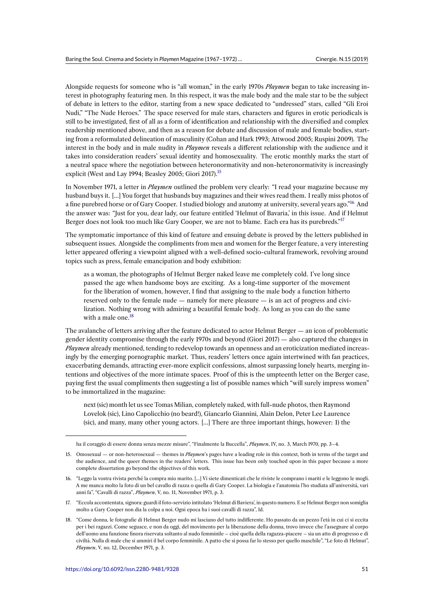Alongside requests for someone who is "all woman," in the early 1970s *Playmen* began to take increasing interest in photography featuring men. In this respect, it was the male body and the male star to be the subject of debate in letters to the editor, starting from a new space dedicated to "undressed" stars, called "Gli Eroi Nudi," "The Nude Heroes." The space reserved for male stars, characters and figures in erotic periodicals is still to be investigated, first of all as a form of identification and relationship with the diversified and complex readership mentioned above, and then as a reason for debate and discussion of male and female bodies, starting from a reformulated delineation of masculinity (Cohan and Hark 1993; Attwood 2005; Ruspini 2009). The interest in the body and in male nudity in *Playmen* reveals a different relationship with the audience and it takes into consideration readers' sexual identity and homosexuality. The erotic monthly marks the start of a neutral space where the negotiation between heteronormativity and non-heteronormativity is increasingly explicit (West and Lay 1994; Beasley 2005; Giori 2017).<sup>15</sup>

In November 1971, a letter in *Playmen* outlined the problem very clearly: "I read your magazine because my husband buys it. […] You forget that husbands buy magazines and their wives read them. I really miss photos of a fine purebred horse or of Gary Cooper. I studied biol[og](#page-6-0)y and anatomy at university, several years ago."<sup>16</sup> And the answer was: "Just for you, dear lady, our feature entitled 'Helmut of Bavaria,' in this issue. And if Helmut Berger does not look too much like Gary Cooper, we are not to blame. Each era has its purebreds."<sup>17</sup>

The symptomatic importance of this kind of feature and ensuing debate is proved by the letters publi[sh](#page-6-1)ed in subsequent issues. Alongside the compliments from men and women for the Berger feature, a very interesting letter appeared offering a viewpoint aligned with a well-defined socio-cultural framework, revolvi[ng](#page-6-2) around topics such as press, female emancipation and body exhibition:

as a woman, the photographs of Helmut Berger naked leave me completely cold. I've long since passed the age when handsome boys are exciting. As a long-time supporter of the movement for the liberation of women, however, I find that assigning to the male body a function hitherto reserved only to the female nude — namely for mere pleasure — is an act of progress and civilization. Nothing wrong with admiring a beautiful female body. As long as you can do the same with a male one.<sup>18</sup>

The avalanche of letters arriving after the feature dedicated to actor Helmut Berger — an icon of problematic gender identity compromise through the early 1970s and beyond (Giori 2017) — also captured the changes in *Playmen* already menti[on](#page-6-3)ed, tending to redevelop towards an openness and an eroticization mediated increasingly by the emerging pornographic market. Thus, readers' letters once again intertwined with fan practices, exacerbating demands, attracting ever-more explicit confessions, almost surpassing lonely hearts, merging intentions and objectives of the more intimate spaces. Proof of this is the umpteenth letter on the Berger case, paying first the usual compliments then suggesting a list of possible names which "will surely impress women" to be immortalized in the magazine:

next (sic) month let us see Tomas Milian, completely naked, with full-nude photos, then Raymond Lovelok (sic), Lino Capolicchio (no beard!), Giancarlo Giannini, Alain Delon, Peter Lee Laurence (sic), and many, many other young actors. […] There are three important things, however: 1) the

ha il coraggio di essere donna senza mezze misure", "Finalmente la Buccella", *Playmen*, IV, no. 3, March 1970, pp. 3–4.

<sup>15.</sup> Omosexual — or non-heterosexual — themes in *Playmen*'s pages have a leading role in this context, both in terms of the target and the audience, and the queer themes in the readers' letters. This issue has been only touched upon in this paper because a more complete dissertation go beyond the objectives of this work.

<span id="page-6-0"></span><sup>16.</sup> "Leggo la vostra rivista perché la compra mio marito. […] Vi siete dimenticati che le riviste le comprano i mariti e le leggono le mogli. A me manca molto la foto di un bel cavallo di razza o quella di Gary Cooper. La biologia e l'anatomia l'ho studiata all'università, vari anni fa", "Cavalli di razza", *Playmen*, V, no. 11, November 1971, p. 3.

<sup>17.</sup> "Eccola accontentata, signora: guardi il foto-servizio intitolato 'Helmut di Baviera', in questo numero. E se Helmut Berger non somiglia molto a Gary Cooper non dia la colpa a noi. Ogni epoca ha i suoi cavalli di razza", Id.

<span id="page-6-3"></span><span id="page-6-2"></span><span id="page-6-1"></span><sup>18.</sup> "Come donna, le fotografie di Helmut Berger nudo mi lasciano del tutto indifferente. Ho passato da un pezzo l'età in cui ci si eccita per i bei ragazzi. Come seguace, e non da oggi, del movimento per la liberazione della donna, trovo invece che l'assegnare al corpo dell'uomo una funzione finora riservata soltanto al nudo femminile – cioè quella della ragazza-piacere – sia un atto di progresso e di civiltà. Nulla di male che si ammiri il bel corpo femminile. A patto che si possa far lo stesso per quello maschile", "Le foto di Helmut", *Playmen*, V, no. 12, December 1971, p. 3.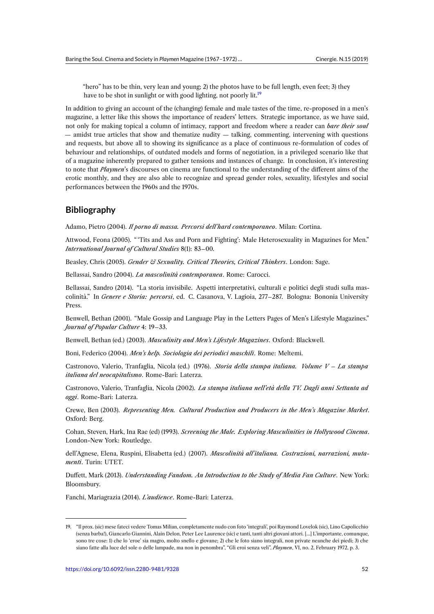"hero" has to be thin, very lean and young; 2) the photos have to be full length, even feet; 3) they have to be shot in sunlight or with good lighting, not poorly lit.<sup>19</sup>

In addition to giving an account of the (changing) female and male tastes of the time, re-proposed in a men's magazine, a letter like this shows the importance of readers' letters. Strategic importance, as we have said, not only for making topical a column of intimacy, rapport and free[do](#page-7-0)m where a reader can *bare their soul* — amidst true articles that show and thematize nudity — talking, commenting, intervening with questions and requests, but above all to showing its significance as a place of continuous re-formulation of codes of behaviour and relationships, of outdated models and forms of negotiation, in a privileged scenario like that of a magazine inherently prepared to gather tensions and instances of change. In conclusion, it's interesting to note that *Playmen*'s discourses on cinema are functional to the understanding of the different aims of the erotic monthly, and they are also able to recognize and spread gender roles, sexuality, lifestyles and social performances between the 1960s and the 1970s.

### **Bibliography**

Adamo, Pietro (2004). *Il porno di massa. Percorsi dell'hard contemporaneo*. Milan: Cortina.

Attwood, Feona (2005). " 'Tits and Ass and Porn and Fighting': Male Heterosexuality in Magazines for Men." *International Journal of Cultural Studies* 8(1): 83–00.

Beasley, Chris (2005). *Gender & Sexuality. Critical Theories, Critical Thinkers*. London: Sage.

Bellassai, Sandro (2004). *La mascolinità contemporanea*. Rome: Carocci.

Bellassai, Sandro (2014). "La storia invisibile. Aspetti interpretativi, culturali e politici degli studi sulla mascolinità." In *Genere e Storia: percorsi*, ed. C. Casanova, V. Lagioia, 277–287. Bologna: Bononia University Press.

Benwell, Bethan (2001). "Male Gossip and Language Play in the Letters Pages of Men's Lifestyle Magazines." *Journal of Popular Culture* 4: 19–33.

Benwell, Bethan (ed.) (2003). *Masculinity and Men's Lifestyle Magazines*. Oxford: Blackwell.

Boni, Federico (2004). *Men's help. Sociologia dei periodici maschili*. Rome: Meltemi.

Castronovo, Valerio, Tranfaglia, Nicola (ed.) (1976). *Storia della stampa italiana. Volume V – La stampa italiana del neocapitalismo*. Rome-Bari: Laterza.

Castronovo, Valerio, Tranfaglia, Nicola (2002). *La stampa italiana nell'età della TV. Dagli anni Settanta ad oggi*. Rome-Bari: Laterza.

Crewe, Ben (2003). *Representing Men. Cultural Production and Producers in the Men's Magazine Market*. Oxford: Berg.

Cohan, Steven, Hark, Ina Rae (ed) (1993). *Screening the Male. Exploring Masculinities in Hollywood Cinema*. London-New York: Routledge.

dell'Agnese, Elena, Ruspini, Elisabetta (ed.) (2007). *Mascolinità all'italiana. Costruzioni, narrazioni, mutamenti*. Turin: UTET.

Duffett, Mark (2013). *Understanding Fandom. An Introduction to the Study of Media Fan Culture*. New York: Bloomsbury.

Fanchi, Mariagrazia (2014). *L'audience*. Rome-Bari: Laterza.

<span id="page-7-0"></span><sup>19.</sup> "Il prox. (sic) mese fateci vedere Tomas Milian, completamente nudo con foto 'integrali', poi Raymond Lovelok (sic), Lino Capolicchio (senza barba!), Giancarlo Giannini, Alain Delon, Peter Lee Laurence (sic) e tanti, tanti altri giovani attori. […] L'importante, comunque, sono tre cose: 1) che lo 'eroe' sia magro, molto snello e giovane; 2) che le foto siano integrali, non private neanche dei piedi; 3) che siano fatte alla luce del sole o delle lampade, ma non in penombra", "Gli eroi senza veli", *Playmen*, VI, no. 2, February 1972, p. 3.